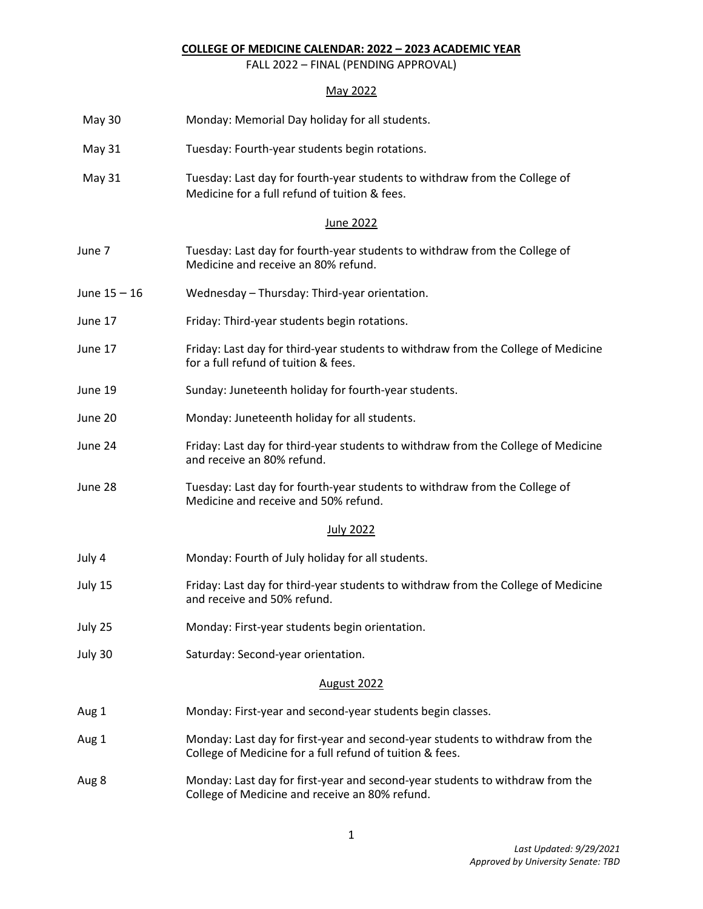## **COLLEGE OF MEDICINE CALENDAR: 2022 – 2023 ACADEMIC YEAR**

FALL 2022 – FINAL (PENDING APPROVAL)

## May 2022

| <b>May 30</b>  | Monday: Memorial Day holiday for all students.                                                                                            |  |  |
|----------------|-------------------------------------------------------------------------------------------------------------------------------------------|--|--|
| May 31         | Tuesday: Fourth-year students begin rotations.                                                                                            |  |  |
| May 31         | Tuesday: Last day for fourth-year students to withdraw from the College of<br>Medicine for a full refund of tuition & fees.               |  |  |
|                | June 2022                                                                                                                                 |  |  |
| June 7         | Tuesday: Last day for fourth-year students to withdraw from the College of<br>Medicine and receive an 80% refund.                         |  |  |
| June $15 - 16$ | Wednesday - Thursday: Third-year orientation.                                                                                             |  |  |
| June 17        | Friday: Third-year students begin rotations.                                                                                              |  |  |
| June 17        | Friday: Last day for third-year students to withdraw from the College of Medicine<br>for a full refund of tuition & fees.                 |  |  |
| June 19        | Sunday: Juneteenth holiday for fourth-year students.                                                                                      |  |  |
| June 20        | Monday: Juneteenth holiday for all students.                                                                                              |  |  |
| June 24        | Friday: Last day for third-year students to withdraw from the College of Medicine<br>and receive an 80% refund.                           |  |  |
| June 28        | Tuesday: Last day for fourth-year students to withdraw from the College of<br>Medicine and receive and 50% refund.                        |  |  |
|                | <b>July 2022</b>                                                                                                                          |  |  |
| July 4         | Monday: Fourth of July holiday for all students.                                                                                          |  |  |
| July 15        | Friday: Last day for third-year students to withdraw from the College of Medicine<br>and receive and 50% refund.                          |  |  |
| July 25        | Monday: First-year students begin orientation.                                                                                            |  |  |
| July 30        | Saturday: Second-year orientation.                                                                                                        |  |  |
|                | August 2022                                                                                                                               |  |  |
| Aug 1          | Monday: First-year and second-year students begin classes.                                                                                |  |  |
| Aug 1          | Monday: Last day for first-year and second-year students to withdraw from the<br>College of Medicine for a full refund of tuition & fees. |  |  |
| Aug 8          | Monday: Last day for first-year and second-year students to withdraw from the<br>College of Medicine and receive an 80% refund.           |  |  |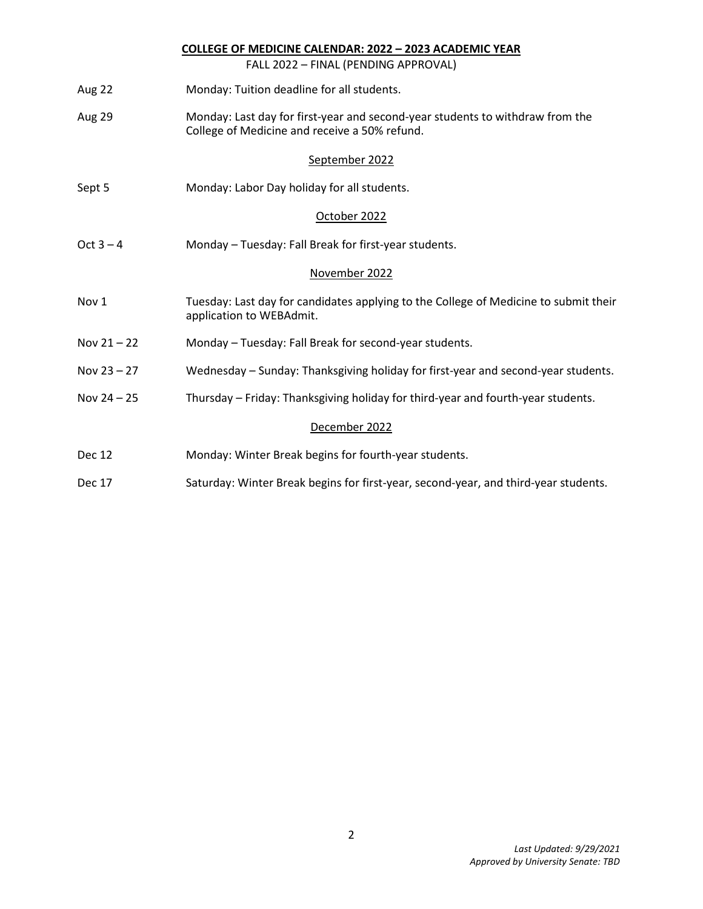|               | <b>COLLEGE OF MEDICINE CALENDAR: 2022 - 2023 ACADEMIC YEAR</b>                                                                 |  |  |
|---------------|--------------------------------------------------------------------------------------------------------------------------------|--|--|
|               | FALL 2022 - FINAL (PENDING APPROVAL)                                                                                           |  |  |
| Aug 22        | Monday: Tuition deadline for all students.                                                                                     |  |  |
| Aug 29        | Monday: Last day for first-year and second-year students to withdraw from the<br>College of Medicine and receive a 50% refund. |  |  |
|               | September 2022                                                                                                                 |  |  |
| Sept 5        | Monday: Labor Day holiday for all students.                                                                                    |  |  |
|               | October 2022                                                                                                                   |  |  |
| Oct $3 - 4$   | Monday - Tuesday: Fall Break for first-year students.                                                                          |  |  |
|               | November 2022                                                                                                                  |  |  |
| Nov 1         | Tuesday: Last day for candidates applying to the College of Medicine to submit their<br>application to WEBAdmit.               |  |  |
| Nov $21 - 22$ | Monday - Tuesday: Fall Break for second-year students.                                                                         |  |  |
| Nov $23 - 27$ | Wednesday - Sunday: Thanksgiving holiday for first-year and second-year students.                                              |  |  |
| Nov $24 - 25$ | Thursday - Friday: Thanksgiving holiday for third-year and fourth-year students.                                               |  |  |
|               | December 2022                                                                                                                  |  |  |
| <b>Dec 12</b> | Monday: Winter Break begins for fourth-year students.                                                                          |  |  |
| Dec 17        | Saturday: Winter Break begins for first-year, second-year, and third-year students.                                            |  |  |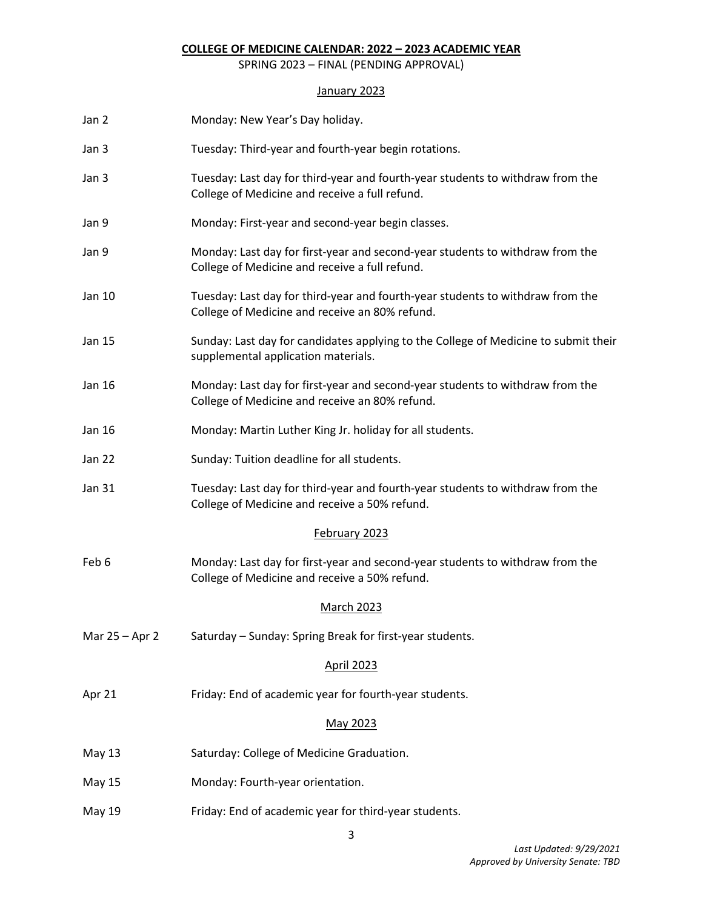## **COLLEGE OF MEDICINE CALENDAR: 2022 – 2023 ACADEMIC YEAR**

SPRING 2023 – FINAL (PENDING APPROVAL)

# January 2023

| Jan 2          | Monday: New Year's Day holiday.                                                                                                  |  |  |  |
|----------------|----------------------------------------------------------------------------------------------------------------------------------|--|--|--|
| Jan 3          | Tuesday: Third-year and fourth-year begin rotations.                                                                             |  |  |  |
| Jan 3          | Tuesday: Last day for third-year and fourth-year students to withdraw from the<br>College of Medicine and receive a full refund. |  |  |  |
| Jan 9          | Monday: First-year and second-year begin classes.                                                                                |  |  |  |
| Jan 9          | Monday: Last day for first-year and second-year students to withdraw from the<br>College of Medicine and receive a full refund.  |  |  |  |
| Jan 10         | Tuesday: Last day for third-year and fourth-year students to withdraw from the<br>College of Medicine and receive an 80% refund. |  |  |  |
| Jan 15         | Sunday: Last day for candidates applying to the College of Medicine to submit their<br>supplemental application materials.       |  |  |  |
| Jan 16         | Monday: Last day for first-year and second-year students to withdraw from the<br>College of Medicine and receive an 80% refund.  |  |  |  |
| Jan 16         | Monday: Martin Luther King Jr. holiday for all students.                                                                         |  |  |  |
| Jan 22         | Sunday: Tuition deadline for all students.                                                                                       |  |  |  |
| Jan 31         | Tuesday: Last day for third-year and fourth-year students to withdraw from the<br>College of Medicine and receive a 50% refund.  |  |  |  |
|                | February 2023                                                                                                                    |  |  |  |
| Feb 6          | Monday: Last day for first-year and second-year students to withdraw from the<br>College of Medicine and receive a 50% refund.   |  |  |  |
|                | <b>March 2023</b>                                                                                                                |  |  |  |
| Mar 25 - Apr 2 | Saturday - Sunday: Spring Break for first-year students.                                                                         |  |  |  |
|                | <b>April 2023</b>                                                                                                                |  |  |  |
| Apr 21         | Friday: End of academic year for fourth-year students.                                                                           |  |  |  |
|                | May 2023                                                                                                                         |  |  |  |
| <b>May 13</b>  | Saturday: College of Medicine Graduation.                                                                                        |  |  |  |
| May 15         | Monday: Fourth-year orientation.                                                                                                 |  |  |  |
| May 19         | Friday: End of academic year for third-year students.                                                                            |  |  |  |